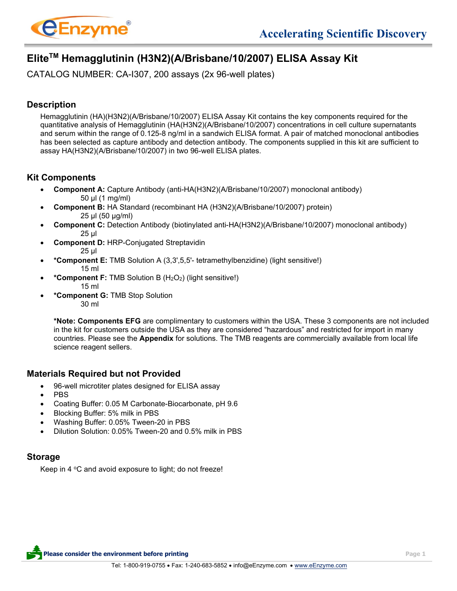

# **EliteTM Hemagglutinin (H3N2)(A/Brisbane/10/2007) ELISA Assay Kit**

CATALOG NUMBER: CA-I307, 200 assays (2x 96-well plates)

# **Description**

Hemagglutinin (HA)(H3N2)(A/Brisbane/10/2007) ELISA Assay Kit contains the key components required for the quantitative analysis of Hemagglutinin (HA(H3N2)(A/Brisbane/10/2007) concentrations in cell culture supernatants and serum within the range of 0.125-8 ng/ml in a sandwich ELISA format. A pair of matched monoclonal antibodies has been selected as capture antibody and detection antibody. The components supplied in this kit are sufficient to assay HA(H3N2)(A/Brisbane/10/2007) in two 96-well ELISA plates.

# **Kit Components**

- **Component A:** Capture Antibody (anti-HA(H3N2)(A/Brisbane/10/2007) monoclonal antibody) 50 µl (1 mg/ml)
- **Component B:** HA Standard (recombinant HA (H3N2)(A/Brisbane/10/2007) protein) 25 µl (50 µg/ml)
- **Component C:** Detection Antibody (biotinylated anti-HA(H3N2)(A/Brisbane/10/2007) monoclonal antibody) 25 µl
- **Component D:** HRP-Conjugated Streptavidin 25 µl
- **\*Component E:** TMB Solution A (3,3',5,5'- tetramethylbenzidine) (light sensitive!) 15 ml
- **\*Component F:** TMB Solution B (H2O2) (light sensitive!) 15 ml
- **\*Component G:** TMB Stop Solution 30 ml

**\*Note: Components EFG** are complimentary to customers within the USA. These 3 components are not included in the kit for customers outside the USA as they are considered "hazardous" and restricted for import in many countries. Please see the **Appendix** for solutions. The TMB reagents are commercially available from local life science reagent sellers.

# **Materials Required but not Provided**

- 96-well microtiter plates designed for ELISA assay
- PBS
- Coating Buffer: 0.05 M Carbonate-Biocarbonate, pH 9.6
- Blocking Buffer: 5% milk in PBS
- Washing Buffer: 0.05% Tween-20 in PBS
- Dilution Solution: 0.05% Tween-20 and 0.5% milk in PBS

# **Storage**

Keep in 4  $\degree$ C and avoid exposure to light; do not freeze!

**Please consider the environment before printing Page 1**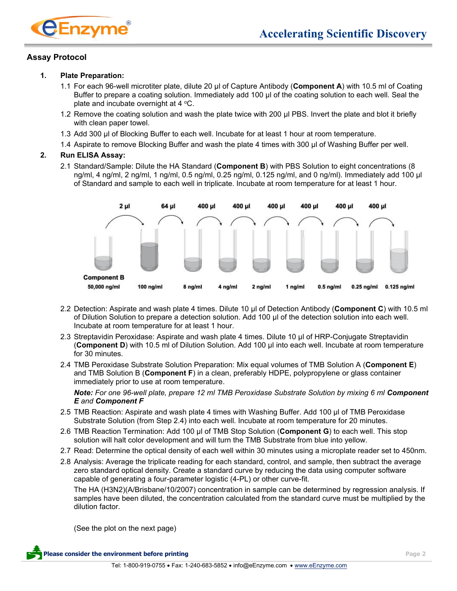

### **Assay Protocol**

#### **1. Plate Preparation:**

- 1.1 For each 96-well microtiter plate, dilute 20 μl of Capture Antibody (**Component A**) with 10.5 ml of Coating Buffer to prepare a coating solution. Immediately add 100 μl of the coating solution to each well. Seal the plate and incubate overnight at  $4 \degree C$ .
- 1.2 Remove the coating solution and wash the plate twice with 200 μl PBS. Invert the plate and blot it briefly with clean paper towel.
- 1.3 Add 300 μl of Blocking Buffer to each well. Incubate for at least 1 hour at room temperature.
- 1.4 Aspirate to remove Blocking Buffer and wash the plate 4 times with 300 μl of Washing Buffer per well.

### **2. Run ELISA Assay:**

2.1 Standard/Sample: Dilute the HA Standard (**Component B**) with PBS Solution to eight concentrations (8 ng/ml, 4 ng/ml, 2 ng/ml, 1 ng/ml, 0.5 ng/ml, 0.25 ng/ml, 0.125 ng/ml, and 0 ng/ml). Immediately add 100 μl of Standard and sample to each well in triplicate. Incubate at room temperature for at least 1 hour.



- 2.2 Detection: Aspirate and wash plate 4 times. Dilute 10 μl of Detection Antibody (**Component C**) with 10.5 ml of Dilution Solution to prepare a detection solution. Add 100 μl of the detection solution into each well. Incubate at room temperature for at least 1 hour.
- 2.3 Streptavidin Peroxidase: Aspirate and wash plate 4 times. Dilute 10 μl of HRP-Conjugate Streptavidin (**Component D**) with 10.5 ml of Dilution Solution. Add 100 μl into each well. Incubate at room temperature for 30 minutes.
- 2.4 TMB Peroxidase Substrate Solution Preparation: Mix equal volumes of TMB Solution A (**Component E**) and TMB Solution B (**Component F**) in a clean, preferably HDPE, polypropylene or glass container immediately prior to use at room temperature.

*Note: For one 96-well plate, prepare 12 ml TMB Peroxidase Substrate Solution by mixing 6 ml Component E and Component F*

- 2.5 TMB Reaction: Aspirate and wash plate 4 times with Washing Buffer. Add 100 μl of TMB Peroxidase Substrate Solution (from Step 2.4) into each well. Incubate at room temperature for 20 minutes.
- 2.6 TMB Reaction Termination: Add 100 μl of TMB Stop Solution (**Component G**) to each well. This stop solution will halt color development and will turn the TMB Substrate from blue into yellow.
- 2.7 Read: Determine the optical density of each well within 30 minutes using a microplate reader set to 450nm.
- 2.8 Analysis: Average the triplicate reading for each standard, control, and sample, then subtract the average zero standard optical density. Create a standard curve by reducing the data using computer software capable of generating a four-parameter logistic (4-PL) or other curve-fit.

The HA (H3N2)(A/Brisbane/10/2007) concentration in sample can be determined by regression analysis. If samples have been diluted, the concentration calculated from the standard curve must be multiplied by the dilution factor.

(See the plot on the next page)

**Please consider the environment before printing Page 2**